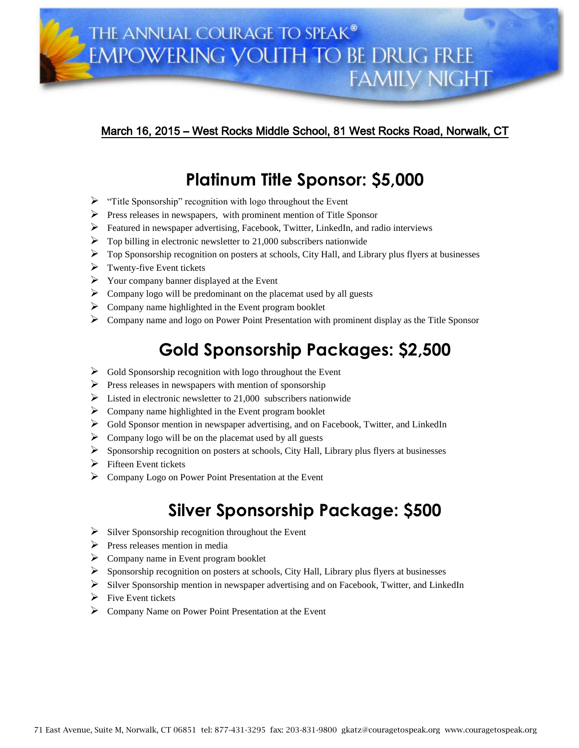

### March 16, 2015 – West Rocks Middle School, 81 West Rocks Road, Norwalk, CT

### **Platinum Title Sponsor: \$5,000**

- $\triangleright$  "Title Sponsorship" recognition with logo throughout the Event
- $\triangleright$  Press releases in newspapers, with prominent mention of Title Sponsor
- Featured in newspaper advertising, Facebook, Twitter, LinkedIn, and radio interviews
- $\triangleright$  Top billing in electronic newsletter to 21,000 subscribers nationwide
- $\triangleright$  Top Sponsorship recognition on posters at schools, City Hall, and Library plus flyers at businesses
- $\triangleright$  Twenty-five Event tickets
- $\triangleright$  Your company banner displayed at the Event
- $\triangleright$  Company logo will be predominant on the placemat used by all guests
- $\triangleright$  Company name highlighted in the Event program booklet
- $\triangleright$  Company name and logo on Power Point Presentation with prominent display as the Title Sponsor

# **Gold Sponsorship Packages: \$2,500**

- $\triangleright$  Gold Sponsorship recognition with logo throughout the Event
- $\triangleright$  Press releases in newspapers with mention of sponsorship
- $\triangleright$  Listed in electronic newsletter to 21,000 subscribers nationwide
- $\triangleright$  Company name highlighted in the Event program booklet
- $\triangleright$  Gold Sponsor mention in newspaper advertising, and on Facebook, Twitter, and LinkedIn
- $\triangleright$  Company logo will be on the placemat used by all guests
- $\triangleright$  Sponsorship recognition on posters at schools, City Hall, Library plus flyers at businesses
- Fifteen Event tickets
- Company Logo on Power Point Presentation at the Event

## **Silver Sponsorship Package: \$500**

- $\triangleright$  Silver Sponsorship recognition throughout the Event
- $\triangleright$  Press releases mention in media
- $\triangleright$  Company name in Event program booklet
- $\triangleright$  Sponsorship recognition on posters at schools, City Hall, Library plus flyers at businesses
- $\triangleright$  Silver Sponsorship mention in newspaper advertising and on Facebook, Twitter, and LinkedIn
- $\triangleright$  Five Event tickets
- Company Name on Power Point Presentation at the Event